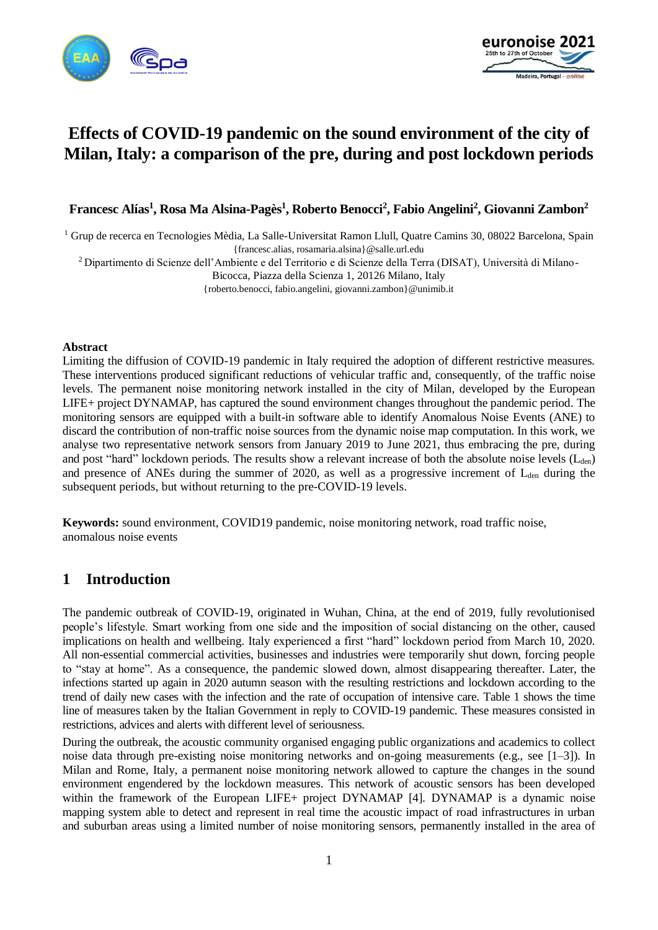



# **Effects of COVID-19 pandemic on the sound environment of the city of Milan, Italy: a comparison of the pre, during and post lockdown periods**

**Francesc Alías<sup>1</sup> , Rosa Ma Alsina-Pagès<sup>1</sup> , Roberto Benocci<sup>2</sup> , Fabio Angelini<sup>2</sup> , Giovanni Zambon<sup>2</sup>**

<sup>1</sup> Grup de recerca en Tecnologies Mèdia, La Salle-Universitat Ramon Llull, Quatre Camins 30, 08022 Barcelona, Spain {francesc.alias, rosamaria.alsina}@salle.url.edu

<sup>2</sup> Dipartimento di Scienze dell'Ambiente e del Territorio e di Scienze della Terra (DISAT), Università di Milano-

Bicocca, Piazza della Scienza 1, 20126 Milano, Italy

{roberto.benocci, fabio.angelini, giovanni.zambon}@unimib.it

#### **Abstract**

Limiting the diffusion of COVID-19 pandemic in Italy required the adoption of different restrictive measures. These interventions produced significant reductions of vehicular traffic and, consequently, of the traffic noise levels. The permanent noise monitoring network installed in the city of Milan, developed by the European LIFE+ project DYNAMAP, has captured the sound environment changes throughout the pandemic period. The monitoring sensors are equipped with a built-in software able to identify Anomalous Noise Events (ANE) to discard the contribution of non-traffic noise sources from the dynamic noise map computation. In this work, we analyse two representative network sensors from January 2019 to June 2021, thus embracing the pre, during and post "hard" lockdown periods. The results show a relevant increase of both the absolute noise levels  $(L_{den})$ and presence of ANEs during the summer of 2020, as well as a progressive increment of  $L_{den}$  during the subsequent periods, but without returning to the pre-COVID-19 levels.

**Keywords:** sound environment, COVID19 pandemic, noise monitoring network, road traffic noise, anomalous noise events

# **1 Introduction**

The pandemic outbreak of COVID-19, originated in Wuhan, China, at the end of 2019, fully revolutionised people's lifestyle. Smart working from one side and the imposition of social distancing on the other, caused implications on health and wellbeing. Italy experienced a first "hard" lockdown period from March 10, 2020. All non-essential commercial activities, businesses and industries were temporarily shut down, forcing people to "stay at home". As a consequence, the pandemic slowed down, almost disappearing thereafter. Later, the infections started up again in 2020 autumn season with the resulting restrictions and lockdown according to the trend of daily new cases [with the infection](https://context.reverso.net/traduzione/inglese-italiano/with+the+infection) and the rate of occupation of intensive care. Table 1 shows the time line of measures taken by the Italian Government in reply to COVID-19 pandemic. These measures consisted in restrictions, advices and alerts with different level of seriousness.

During the outbreak, the acoustic community organised engaging public organizations and academics to collect noise data through pre-existing noise monitoring networks and on-going measurements (e.g., see [1–3]). In Milan and Rome, Italy, a permanent noise monitoring network allowed to capture the changes in the sound environment engendered by the lockdown measures. This network of acoustic sensors has been developed within the framework of the European LIFE+ project DYNAMAP [4]. DYNAMAP is a dynamic noise mapping system able to detect and represent in real time the acoustic impact of road infrastructures in urban and suburban areas using a limited number of noise monitoring sensors, permanently installed in the area of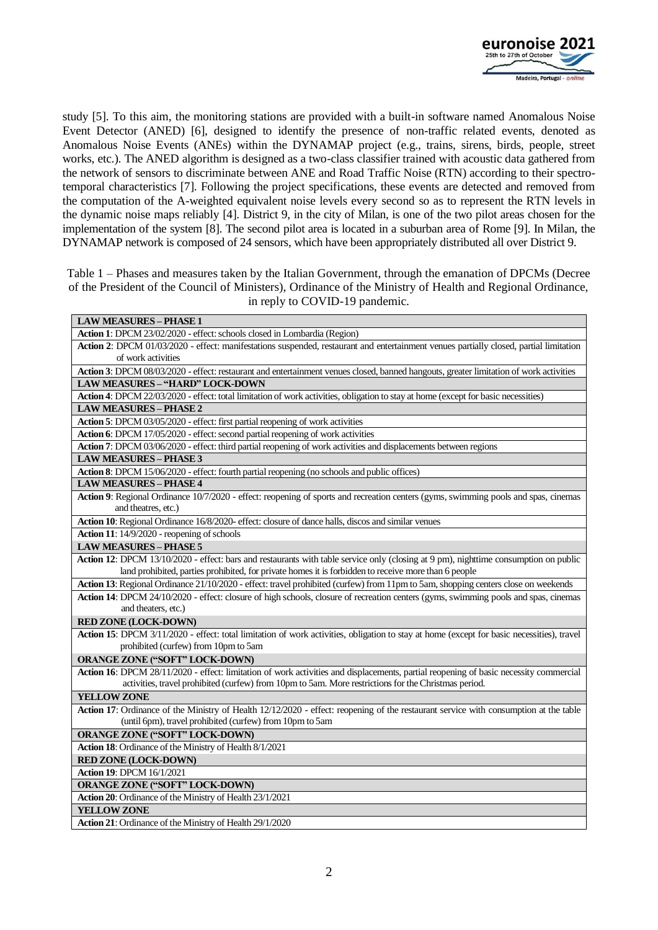

study [5]. To this aim, the monitoring stations are provided with a built-in software named Anomalous Noise Event Detector (ANED) [6], designed to identify the presence of non-traffic related events, denoted as Anomalous Noise Events (ANEs) within the DYNAMAP project (e.g., trains, sirens, birds, people, street works, etc.). The ANED algorithm is designed as a two-class classifier trained with acoustic data gathered from the network of sensors to discriminate between ANE and Road Traffic Noise (RTN) according to their spectrotemporal characteristics [7]. Following the project specifications, these events are detected and removed from the computation of the A-weighted equivalent noise levels every second so as to represent the RTN levels in the dynamic noise maps reliably [4]. District 9, in the city of Milan, is one of the two pilot areas chosen for the implementation of the system [8]. The second pilot area is located in a suburban area of Rome [9]. In Milan, the DYNAMAP network is composed of 24 sensors, which have been appropriately distributed all over District 9.

Table 1 – Phases and measures taken by the Italian Government, through the emanation of DPCMs (Decree of the President of the Council of Ministers), Ordinance of the Ministry of Health and Regional Ordinance, in reply to COVID-19 pandemic.

| Action 1: DPCM 23/02/2020 - effect: schools closed in Lombardia (Region)<br>Action 2: DPCM 01/03/2020 - effect: manifestations suspended, restaurant and entertainment venues partially closed, partial limitation<br>of work activities<br>Action 3: DPCM 08/03/2020 - effect: restaurant and entertainment venues closed, banned hangouts, greater limitation of work activities<br><b>LAW MEASURES - "HARD" LOCK-DOWN</b><br>Action 4: DPCM 22/03/2020 - effect: total limitation of work activities, obligation to stay at home (except for basic necessities)<br><b>LAW MEASURES – PHASE 2</b><br>Action 5: DPCM 03/05/2020 - effect: first partial reopening of work activities<br>Action 6: DPCM 17/05/2020 - effect: second partial reopening of work activities<br>Action 7: DPCM 03/06/2020 - effect: third partial reopening of work activities and displacements between regions<br><b>LAW MEASURES - PHASE 3</b><br>Action 8: DPCM 15/06/2020 - effect: fourth partial reopening (no schools and public offices)<br><b>LAW MEASURES - PHASE 4</b><br>Action 9: Regional Ordinance 10/7/2020 - effect: reopening of sports and recreation centers (gyms, swimming pools and spas, cinemas<br>and theatres, etc.)<br>Action 10: Regional Ordinance 16/8/2020- effect: closure of dance halls, discos and similar venues<br>Action 11: 14/9/2020 - reopening of schools<br><b>LAW MEASURES - PHASE 5</b><br>Action 12: DPCM 13/10/2020 - effect: bars and restaurants with table service only (closing at 9 pm), nighttime consumption on public<br>land prohibited, parties prohibited, for private homes it is forbidden to receive more than 6 people<br>Action 13: Regional Ordinance 21/10/2020 - effect: travel prohibited (curfew) from 11pm to 5am, shopping centers close on weekends<br>Action 14: DPCM 24/10/2020 - effect: closure of high schools, closure of recreation centers (gyms, swimming pools and spas, cinemas<br>and theaters, etc.)<br>RED ZONE (LOCK-DOWN)<br>Action 15: DPCM 3/11/2020 - effect: total limitation of work activities, obligation to stay at home (except for basic necessities), travel<br>prohibited (curfew) from 10pm to 5am<br><b>ORANGE ZONE ("SOFT" LOCK-DOWN)</b><br>Action 16: DPCM 28/11/2020 - effect: limitation of work activities and displacements, partial reopening of basic necessity commercial<br>activities, travel prohibited (curfew) from 10pm to 5am. More restrictions for the Christmas period.<br><b>YELLOW ZONE</b><br>Action 17: Ordinance of the Ministry of Health 12/12/2020 - effect: reopening of the restaurant service with consumption at the table<br>(until 6pm), travel prohibited (curfew) from 10pm to 5am<br>ORANGE ZONE ("SOFT" LOCK-DOWN)<br>Action 18: Ordinance of the Ministry of Health 8/1/2021<br>RED ZONE (LOCK-DOWN)<br><b>Action 19: DPCM 16/1/2021</b><br>ORANGE ZONE ("SOFT" LOCK-DOWN)<br>Action 20: Ordinance of the Ministry of Health 23/1/2021<br>YELLOW ZONE | <b>LAW MEASURES - PHASE 1</b>                            |
|---------------------------------------------------------------------------------------------------------------------------------------------------------------------------------------------------------------------------------------------------------------------------------------------------------------------------------------------------------------------------------------------------------------------------------------------------------------------------------------------------------------------------------------------------------------------------------------------------------------------------------------------------------------------------------------------------------------------------------------------------------------------------------------------------------------------------------------------------------------------------------------------------------------------------------------------------------------------------------------------------------------------------------------------------------------------------------------------------------------------------------------------------------------------------------------------------------------------------------------------------------------------------------------------------------------------------------------------------------------------------------------------------------------------------------------------------------------------------------------------------------------------------------------------------------------------------------------------------------------------------------------------------------------------------------------------------------------------------------------------------------------------------------------------------------------------------------------------------------------------------------------------------------------------------------------------------------------------------------------------------------------------------------------------------------------------------------------------------------------------------------------------------------------------------------------------------------------------------------------------------------------------------------------------------------------------------------------------------------------------------------------------------------------------------------------------------------------------------------------------------------------------------------------------------------------------------------------------------------------------------------------------------------------------------------------------------------------------------------------------------------------------------------------------------------------------------------------------------------------------------------------------------------------------------------------------------------------------------------|----------------------------------------------------------|
|                                                                                                                                                                                                                                                                                                                                                                                                                                                                                                                                                                                                                                                                                                                                                                                                                                                                                                                                                                                                                                                                                                                                                                                                                                                                                                                                                                                                                                                                                                                                                                                                                                                                                                                                                                                                                                                                                                                                                                                                                                                                                                                                                                                                                                                                                                                                                                                                                                                                                                                                                                                                                                                                                                                                                                                                                                                                                                                                                                                 |                                                          |
|                                                                                                                                                                                                                                                                                                                                                                                                                                                                                                                                                                                                                                                                                                                                                                                                                                                                                                                                                                                                                                                                                                                                                                                                                                                                                                                                                                                                                                                                                                                                                                                                                                                                                                                                                                                                                                                                                                                                                                                                                                                                                                                                                                                                                                                                                                                                                                                                                                                                                                                                                                                                                                                                                                                                                                                                                                                                                                                                                                                 |                                                          |
|                                                                                                                                                                                                                                                                                                                                                                                                                                                                                                                                                                                                                                                                                                                                                                                                                                                                                                                                                                                                                                                                                                                                                                                                                                                                                                                                                                                                                                                                                                                                                                                                                                                                                                                                                                                                                                                                                                                                                                                                                                                                                                                                                                                                                                                                                                                                                                                                                                                                                                                                                                                                                                                                                                                                                                                                                                                                                                                                                                                 |                                                          |
|                                                                                                                                                                                                                                                                                                                                                                                                                                                                                                                                                                                                                                                                                                                                                                                                                                                                                                                                                                                                                                                                                                                                                                                                                                                                                                                                                                                                                                                                                                                                                                                                                                                                                                                                                                                                                                                                                                                                                                                                                                                                                                                                                                                                                                                                                                                                                                                                                                                                                                                                                                                                                                                                                                                                                                                                                                                                                                                                                                                 |                                                          |
|                                                                                                                                                                                                                                                                                                                                                                                                                                                                                                                                                                                                                                                                                                                                                                                                                                                                                                                                                                                                                                                                                                                                                                                                                                                                                                                                                                                                                                                                                                                                                                                                                                                                                                                                                                                                                                                                                                                                                                                                                                                                                                                                                                                                                                                                                                                                                                                                                                                                                                                                                                                                                                                                                                                                                                                                                                                                                                                                                                                 |                                                          |
|                                                                                                                                                                                                                                                                                                                                                                                                                                                                                                                                                                                                                                                                                                                                                                                                                                                                                                                                                                                                                                                                                                                                                                                                                                                                                                                                                                                                                                                                                                                                                                                                                                                                                                                                                                                                                                                                                                                                                                                                                                                                                                                                                                                                                                                                                                                                                                                                                                                                                                                                                                                                                                                                                                                                                                                                                                                                                                                                                                                 |                                                          |
|                                                                                                                                                                                                                                                                                                                                                                                                                                                                                                                                                                                                                                                                                                                                                                                                                                                                                                                                                                                                                                                                                                                                                                                                                                                                                                                                                                                                                                                                                                                                                                                                                                                                                                                                                                                                                                                                                                                                                                                                                                                                                                                                                                                                                                                                                                                                                                                                                                                                                                                                                                                                                                                                                                                                                                                                                                                                                                                                                                                 |                                                          |
|                                                                                                                                                                                                                                                                                                                                                                                                                                                                                                                                                                                                                                                                                                                                                                                                                                                                                                                                                                                                                                                                                                                                                                                                                                                                                                                                                                                                                                                                                                                                                                                                                                                                                                                                                                                                                                                                                                                                                                                                                                                                                                                                                                                                                                                                                                                                                                                                                                                                                                                                                                                                                                                                                                                                                                                                                                                                                                                                                                                 |                                                          |
|                                                                                                                                                                                                                                                                                                                                                                                                                                                                                                                                                                                                                                                                                                                                                                                                                                                                                                                                                                                                                                                                                                                                                                                                                                                                                                                                                                                                                                                                                                                                                                                                                                                                                                                                                                                                                                                                                                                                                                                                                                                                                                                                                                                                                                                                                                                                                                                                                                                                                                                                                                                                                                                                                                                                                                                                                                                                                                                                                                                 |                                                          |
|                                                                                                                                                                                                                                                                                                                                                                                                                                                                                                                                                                                                                                                                                                                                                                                                                                                                                                                                                                                                                                                                                                                                                                                                                                                                                                                                                                                                                                                                                                                                                                                                                                                                                                                                                                                                                                                                                                                                                                                                                                                                                                                                                                                                                                                                                                                                                                                                                                                                                                                                                                                                                                                                                                                                                                                                                                                                                                                                                                                 |                                                          |
|                                                                                                                                                                                                                                                                                                                                                                                                                                                                                                                                                                                                                                                                                                                                                                                                                                                                                                                                                                                                                                                                                                                                                                                                                                                                                                                                                                                                                                                                                                                                                                                                                                                                                                                                                                                                                                                                                                                                                                                                                                                                                                                                                                                                                                                                                                                                                                                                                                                                                                                                                                                                                                                                                                                                                                                                                                                                                                                                                                                 |                                                          |
|                                                                                                                                                                                                                                                                                                                                                                                                                                                                                                                                                                                                                                                                                                                                                                                                                                                                                                                                                                                                                                                                                                                                                                                                                                                                                                                                                                                                                                                                                                                                                                                                                                                                                                                                                                                                                                                                                                                                                                                                                                                                                                                                                                                                                                                                                                                                                                                                                                                                                                                                                                                                                                                                                                                                                                                                                                                                                                                                                                                 |                                                          |
|                                                                                                                                                                                                                                                                                                                                                                                                                                                                                                                                                                                                                                                                                                                                                                                                                                                                                                                                                                                                                                                                                                                                                                                                                                                                                                                                                                                                                                                                                                                                                                                                                                                                                                                                                                                                                                                                                                                                                                                                                                                                                                                                                                                                                                                                                                                                                                                                                                                                                                                                                                                                                                                                                                                                                                                                                                                                                                                                                                                 |                                                          |
|                                                                                                                                                                                                                                                                                                                                                                                                                                                                                                                                                                                                                                                                                                                                                                                                                                                                                                                                                                                                                                                                                                                                                                                                                                                                                                                                                                                                                                                                                                                                                                                                                                                                                                                                                                                                                                                                                                                                                                                                                                                                                                                                                                                                                                                                                                                                                                                                                                                                                                                                                                                                                                                                                                                                                                                                                                                                                                                                                                                 |                                                          |
|                                                                                                                                                                                                                                                                                                                                                                                                                                                                                                                                                                                                                                                                                                                                                                                                                                                                                                                                                                                                                                                                                                                                                                                                                                                                                                                                                                                                                                                                                                                                                                                                                                                                                                                                                                                                                                                                                                                                                                                                                                                                                                                                                                                                                                                                                                                                                                                                                                                                                                                                                                                                                                                                                                                                                                                                                                                                                                                                                                                 |                                                          |
|                                                                                                                                                                                                                                                                                                                                                                                                                                                                                                                                                                                                                                                                                                                                                                                                                                                                                                                                                                                                                                                                                                                                                                                                                                                                                                                                                                                                                                                                                                                                                                                                                                                                                                                                                                                                                                                                                                                                                                                                                                                                                                                                                                                                                                                                                                                                                                                                                                                                                                                                                                                                                                                                                                                                                                                                                                                                                                                                                                                 |                                                          |
|                                                                                                                                                                                                                                                                                                                                                                                                                                                                                                                                                                                                                                                                                                                                                                                                                                                                                                                                                                                                                                                                                                                                                                                                                                                                                                                                                                                                                                                                                                                                                                                                                                                                                                                                                                                                                                                                                                                                                                                                                                                                                                                                                                                                                                                                                                                                                                                                                                                                                                                                                                                                                                                                                                                                                                                                                                                                                                                                                                                 |                                                          |
|                                                                                                                                                                                                                                                                                                                                                                                                                                                                                                                                                                                                                                                                                                                                                                                                                                                                                                                                                                                                                                                                                                                                                                                                                                                                                                                                                                                                                                                                                                                                                                                                                                                                                                                                                                                                                                                                                                                                                                                                                                                                                                                                                                                                                                                                                                                                                                                                                                                                                                                                                                                                                                                                                                                                                                                                                                                                                                                                                                                 |                                                          |
|                                                                                                                                                                                                                                                                                                                                                                                                                                                                                                                                                                                                                                                                                                                                                                                                                                                                                                                                                                                                                                                                                                                                                                                                                                                                                                                                                                                                                                                                                                                                                                                                                                                                                                                                                                                                                                                                                                                                                                                                                                                                                                                                                                                                                                                                                                                                                                                                                                                                                                                                                                                                                                                                                                                                                                                                                                                                                                                                                                                 |                                                          |
|                                                                                                                                                                                                                                                                                                                                                                                                                                                                                                                                                                                                                                                                                                                                                                                                                                                                                                                                                                                                                                                                                                                                                                                                                                                                                                                                                                                                                                                                                                                                                                                                                                                                                                                                                                                                                                                                                                                                                                                                                                                                                                                                                                                                                                                                                                                                                                                                                                                                                                                                                                                                                                                                                                                                                                                                                                                                                                                                                                                 |                                                          |
|                                                                                                                                                                                                                                                                                                                                                                                                                                                                                                                                                                                                                                                                                                                                                                                                                                                                                                                                                                                                                                                                                                                                                                                                                                                                                                                                                                                                                                                                                                                                                                                                                                                                                                                                                                                                                                                                                                                                                                                                                                                                                                                                                                                                                                                                                                                                                                                                                                                                                                                                                                                                                                                                                                                                                                                                                                                                                                                                                                                 |                                                          |
|                                                                                                                                                                                                                                                                                                                                                                                                                                                                                                                                                                                                                                                                                                                                                                                                                                                                                                                                                                                                                                                                                                                                                                                                                                                                                                                                                                                                                                                                                                                                                                                                                                                                                                                                                                                                                                                                                                                                                                                                                                                                                                                                                                                                                                                                                                                                                                                                                                                                                                                                                                                                                                                                                                                                                                                                                                                                                                                                                                                 |                                                          |
|                                                                                                                                                                                                                                                                                                                                                                                                                                                                                                                                                                                                                                                                                                                                                                                                                                                                                                                                                                                                                                                                                                                                                                                                                                                                                                                                                                                                                                                                                                                                                                                                                                                                                                                                                                                                                                                                                                                                                                                                                                                                                                                                                                                                                                                                                                                                                                                                                                                                                                                                                                                                                                                                                                                                                                                                                                                                                                                                                                                 |                                                          |
|                                                                                                                                                                                                                                                                                                                                                                                                                                                                                                                                                                                                                                                                                                                                                                                                                                                                                                                                                                                                                                                                                                                                                                                                                                                                                                                                                                                                                                                                                                                                                                                                                                                                                                                                                                                                                                                                                                                                                                                                                                                                                                                                                                                                                                                                                                                                                                                                                                                                                                                                                                                                                                                                                                                                                                                                                                                                                                                                                                                 |                                                          |
|                                                                                                                                                                                                                                                                                                                                                                                                                                                                                                                                                                                                                                                                                                                                                                                                                                                                                                                                                                                                                                                                                                                                                                                                                                                                                                                                                                                                                                                                                                                                                                                                                                                                                                                                                                                                                                                                                                                                                                                                                                                                                                                                                                                                                                                                                                                                                                                                                                                                                                                                                                                                                                                                                                                                                                                                                                                                                                                                                                                 |                                                          |
|                                                                                                                                                                                                                                                                                                                                                                                                                                                                                                                                                                                                                                                                                                                                                                                                                                                                                                                                                                                                                                                                                                                                                                                                                                                                                                                                                                                                                                                                                                                                                                                                                                                                                                                                                                                                                                                                                                                                                                                                                                                                                                                                                                                                                                                                                                                                                                                                                                                                                                                                                                                                                                                                                                                                                                                                                                                                                                                                                                                 |                                                          |
|                                                                                                                                                                                                                                                                                                                                                                                                                                                                                                                                                                                                                                                                                                                                                                                                                                                                                                                                                                                                                                                                                                                                                                                                                                                                                                                                                                                                                                                                                                                                                                                                                                                                                                                                                                                                                                                                                                                                                                                                                                                                                                                                                                                                                                                                                                                                                                                                                                                                                                                                                                                                                                                                                                                                                                                                                                                                                                                                                                                 |                                                          |
|                                                                                                                                                                                                                                                                                                                                                                                                                                                                                                                                                                                                                                                                                                                                                                                                                                                                                                                                                                                                                                                                                                                                                                                                                                                                                                                                                                                                                                                                                                                                                                                                                                                                                                                                                                                                                                                                                                                                                                                                                                                                                                                                                                                                                                                                                                                                                                                                                                                                                                                                                                                                                                                                                                                                                                                                                                                                                                                                                                                 |                                                          |
|                                                                                                                                                                                                                                                                                                                                                                                                                                                                                                                                                                                                                                                                                                                                                                                                                                                                                                                                                                                                                                                                                                                                                                                                                                                                                                                                                                                                                                                                                                                                                                                                                                                                                                                                                                                                                                                                                                                                                                                                                                                                                                                                                                                                                                                                                                                                                                                                                                                                                                                                                                                                                                                                                                                                                                                                                                                                                                                                                                                 |                                                          |
|                                                                                                                                                                                                                                                                                                                                                                                                                                                                                                                                                                                                                                                                                                                                                                                                                                                                                                                                                                                                                                                                                                                                                                                                                                                                                                                                                                                                                                                                                                                                                                                                                                                                                                                                                                                                                                                                                                                                                                                                                                                                                                                                                                                                                                                                                                                                                                                                                                                                                                                                                                                                                                                                                                                                                                                                                                                                                                                                                                                 |                                                          |
|                                                                                                                                                                                                                                                                                                                                                                                                                                                                                                                                                                                                                                                                                                                                                                                                                                                                                                                                                                                                                                                                                                                                                                                                                                                                                                                                                                                                                                                                                                                                                                                                                                                                                                                                                                                                                                                                                                                                                                                                                                                                                                                                                                                                                                                                                                                                                                                                                                                                                                                                                                                                                                                                                                                                                                                                                                                                                                                                                                                 |                                                          |
|                                                                                                                                                                                                                                                                                                                                                                                                                                                                                                                                                                                                                                                                                                                                                                                                                                                                                                                                                                                                                                                                                                                                                                                                                                                                                                                                                                                                                                                                                                                                                                                                                                                                                                                                                                                                                                                                                                                                                                                                                                                                                                                                                                                                                                                                                                                                                                                                                                                                                                                                                                                                                                                                                                                                                                                                                                                                                                                                                                                 |                                                          |
|                                                                                                                                                                                                                                                                                                                                                                                                                                                                                                                                                                                                                                                                                                                                                                                                                                                                                                                                                                                                                                                                                                                                                                                                                                                                                                                                                                                                                                                                                                                                                                                                                                                                                                                                                                                                                                                                                                                                                                                                                                                                                                                                                                                                                                                                                                                                                                                                                                                                                                                                                                                                                                                                                                                                                                                                                                                                                                                                                                                 |                                                          |
|                                                                                                                                                                                                                                                                                                                                                                                                                                                                                                                                                                                                                                                                                                                                                                                                                                                                                                                                                                                                                                                                                                                                                                                                                                                                                                                                                                                                                                                                                                                                                                                                                                                                                                                                                                                                                                                                                                                                                                                                                                                                                                                                                                                                                                                                                                                                                                                                                                                                                                                                                                                                                                                                                                                                                                                                                                                                                                                                                                                 |                                                          |
|                                                                                                                                                                                                                                                                                                                                                                                                                                                                                                                                                                                                                                                                                                                                                                                                                                                                                                                                                                                                                                                                                                                                                                                                                                                                                                                                                                                                                                                                                                                                                                                                                                                                                                                                                                                                                                                                                                                                                                                                                                                                                                                                                                                                                                                                                                                                                                                                                                                                                                                                                                                                                                                                                                                                                                                                                                                                                                                                                                                 |                                                          |
|                                                                                                                                                                                                                                                                                                                                                                                                                                                                                                                                                                                                                                                                                                                                                                                                                                                                                                                                                                                                                                                                                                                                                                                                                                                                                                                                                                                                                                                                                                                                                                                                                                                                                                                                                                                                                                                                                                                                                                                                                                                                                                                                                                                                                                                                                                                                                                                                                                                                                                                                                                                                                                                                                                                                                                                                                                                                                                                                                                                 |                                                          |
|                                                                                                                                                                                                                                                                                                                                                                                                                                                                                                                                                                                                                                                                                                                                                                                                                                                                                                                                                                                                                                                                                                                                                                                                                                                                                                                                                                                                                                                                                                                                                                                                                                                                                                                                                                                                                                                                                                                                                                                                                                                                                                                                                                                                                                                                                                                                                                                                                                                                                                                                                                                                                                                                                                                                                                                                                                                                                                                                                                                 |                                                          |
|                                                                                                                                                                                                                                                                                                                                                                                                                                                                                                                                                                                                                                                                                                                                                                                                                                                                                                                                                                                                                                                                                                                                                                                                                                                                                                                                                                                                                                                                                                                                                                                                                                                                                                                                                                                                                                                                                                                                                                                                                                                                                                                                                                                                                                                                                                                                                                                                                                                                                                                                                                                                                                                                                                                                                                                                                                                                                                                                                                                 |                                                          |
|                                                                                                                                                                                                                                                                                                                                                                                                                                                                                                                                                                                                                                                                                                                                                                                                                                                                                                                                                                                                                                                                                                                                                                                                                                                                                                                                                                                                                                                                                                                                                                                                                                                                                                                                                                                                                                                                                                                                                                                                                                                                                                                                                                                                                                                                                                                                                                                                                                                                                                                                                                                                                                                                                                                                                                                                                                                                                                                                                                                 |                                                          |
|                                                                                                                                                                                                                                                                                                                                                                                                                                                                                                                                                                                                                                                                                                                                                                                                                                                                                                                                                                                                                                                                                                                                                                                                                                                                                                                                                                                                                                                                                                                                                                                                                                                                                                                                                                                                                                                                                                                                                                                                                                                                                                                                                                                                                                                                                                                                                                                                                                                                                                                                                                                                                                                                                                                                                                                                                                                                                                                                                                                 | Action 21: Ordinance of the Ministry of Health 29/1/2020 |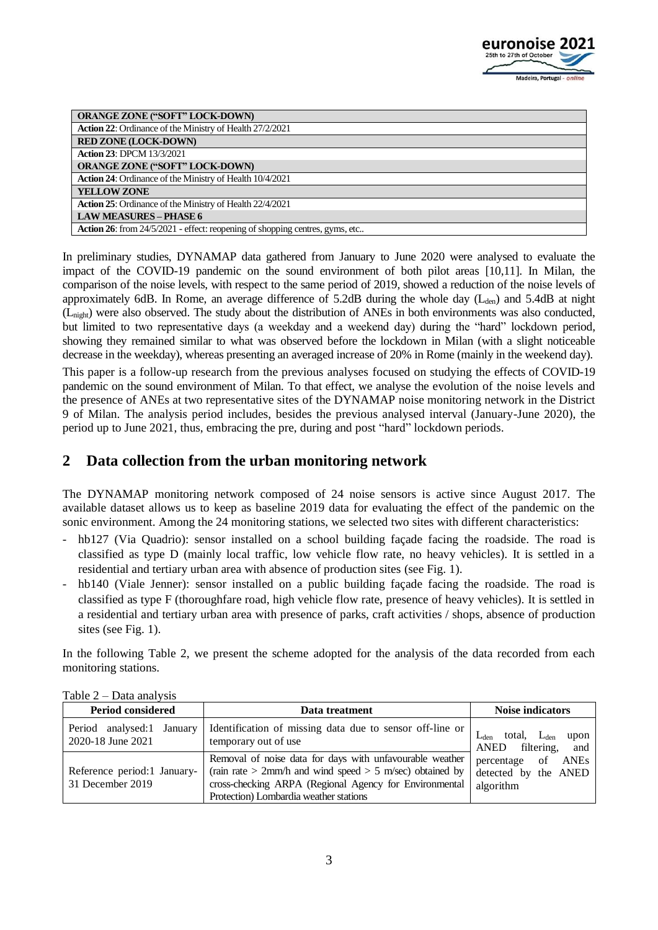

| <b>ORANGE ZONE ("SOFT" LOCK-DOWN)</b>                                        |
|------------------------------------------------------------------------------|
| <b>Action 22:</b> Ordinance of the Ministry of Health 27/2/2021              |
| <b>RED ZONE (LOCK-DOWN)</b>                                                  |
| <b>Action 23: DPCM 13/3/2021</b>                                             |
| <b>ORANGE ZONE ("SOFT" LOCK-DOWN)</b>                                        |
| <b>Action 24:</b> Ordinance of the Ministry of Health 10/4/2021              |
| <b>YELLOW ZONE</b>                                                           |
| <b>Action 25:</b> Ordinance of the Ministry of Health 22/4/2021              |
| <b>LAW MEASURES - PHASE 6</b>                                                |
| Action 26: from 24/5/2021 - effect: reopening of shopping centres, gyms, etc |

In preliminary studies, DYNAMAP data gathered from January to June 2020 were analysed to evaluate the impact of the COVID-19 pandemic on the sound environment of both pilot areas [10,11]. In Milan, the comparison of the noise levels, with respect to the same period of 2019, showed a reduction of the noise levels of approximately 6dB. In Rome, an average difference of 5.2dB during the whole day  $(L<sub>den</sub>)$  and 5.4dB at night (Lnight) were also observed. The study about the distribution of ANEs in both environments was also conducted, but limited to two representative days (a weekday and a weekend day) during the "hard" lockdown period, showing they remained similar to what was observed before the lockdown in Milan (with a slight noticeable decrease in the weekday), whereas presenting an averaged increase of 20% in Rome (mainly in the weekend day).

This paper is a follow-up research from the previous analyses focused on studying the effects of COVID-19 pandemic on the sound environment of Milan. To that effect, we analyse the evolution of the noise levels and the presence of ANEs at two representative sites of the DYNAMAP noise monitoring network in the District 9 of Milan. The analysis period includes, besides the previous analysed interval (January-June 2020), the period up to June 2021, thus, embracing the pre, during and post "hard" lockdown periods.

# **2 Data collection from the urban monitoring network**

The DYNAMAP monitoring network composed of 24 noise sensors is active since August 2017. The available dataset allows us to keep as baseline 2019 data for evaluating the effect of the pandemic on the sonic environment. Among the 24 monitoring stations, we selected two sites with different characteristics:

- hb127 (Via Quadrio): sensor installed on a school building façade facing the roadside. The road is classified as type D (mainly local traffic, low vehicle flow rate, no heavy vehicles). It is settled in a residential and tertiary urban area with absence of production sites (see Fig. 1).
- hb140 (Viale Jenner): sensor installed on a public building façade facing the roadside. The road is classified as type F (thoroughfare road, high vehicle flow rate, presence of heavy vehicles). It is settled in a residential and tertiary urban area with presence of parks, craft activities / shops, absence of production sites (see Fig. 1).

In the following Table 2, we present the scheme adopted for the analysis of the data recorded from each monitoring stations.

| <b>Period considered</b>                        | Data treatment                                                                                                                                                                                                                | <b>Noise indicators</b>                                    |
|-------------------------------------------------|-------------------------------------------------------------------------------------------------------------------------------------------------------------------------------------------------------------------------------|------------------------------------------------------------|
| Period analysed:1 January<br>2020-18 June 2021  | Identification of missing data due to sensor off-line or<br>temporary out of use                                                                                                                                              | total, $L_{den}$<br>upon<br>filtering, and<br>ANED         |
| Reference period:1 January-<br>31 December 2019 | Removal of noise data for days with unfavourable weather<br>(rain rate $> 2$ mm/h and wind speed $> 5$ m/sec) obtained by<br>cross-checking ARPA (Regional Agency for Environmental<br>Protection) Lombardia weather stations | percentage of<br>ANEs<br>detected by the ANED<br>algorithm |

| Table $2$ – Data analysis |  |  |
|---------------------------|--|--|
|                           |  |  |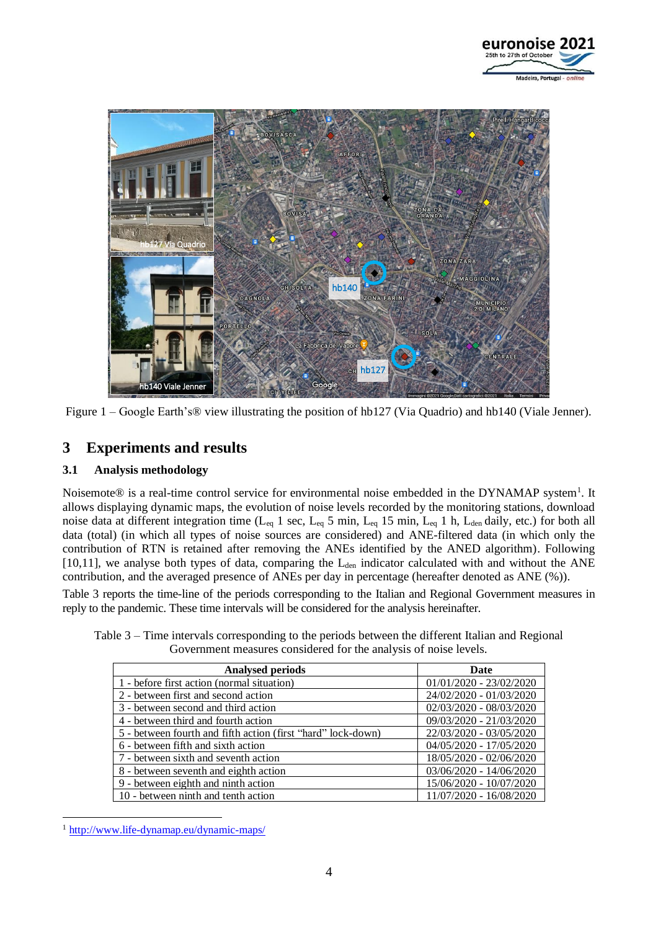



Figure 1 – Google Earth's® view illustrating the position of hb127 (Via Quadrio) and hb140 (Viale Jenner).

# **3 Experiments and results**

#### **3.1 Analysis methodology**

Noisemote® is a real-time control service for environmental noise embedded in the DYNAMAP system<sup>1</sup>. It allows displaying dynamic maps, the evolution of noise levels recorded by the monitoring stations, download noise data at different integration time ( $L_{eq}$  1 sec,  $L_{eq}$  5 min,  $L_{eq}$  15 min,  $L_{eq}$  1 h,  $L_{den}$  daily, etc.) for both all data (total) (in which all types of noise sources are considered) and ANE-filtered data (in which only the contribution of RTN is retained after removing the ANEs identified by the ANED algorithm). Following [10,11], we analyse both types of data, comparing the  $L_{den}$  indicator calculated with and without the ANE contribution, and the averaged presence of ANEs per day in percentage (hereafter denoted as ANE (%)).

Table 3 reports the time-line of the periods corresponding to the Italian and Regional Government measures in reply to the pandemic. These time intervals will be considered for the analysis hereinafter.

| <b>Analysed periods</b>                                      | Date                      |
|--------------------------------------------------------------|---------------------------|
| 1 - before first action (normal situation)                   | $01/01/2020 - 23/02/2020$ |
| 2 - between first and second action                          | 24/02/2020 - 01/03/2020   |
| 3 - between second and third action                          | 02/03/2020 - 08/03/2020   |
| 4 - between third and fourth action                          | 09/03/2020 - 21/03/2020   |
| 5 - between fourth and fifth action (first "hard" lock-down) | 22/03/2020 - 03/05/2020   |
| 6 - between fifth and sixth action                           | 04/05/2020 - 17/05/2020   |
| 7 - between sixth and seventh action                         | 18/05/2020 - 02/06/2020   |
| 8 - between seventh and eighth action                        | 03/06/2020 - 14/06/2020   |
| 9 - between eighth and ninth action                          | 15/06/2020 - 10/07/2020   |
| 10 - between ninth and tenth action                          | 11/07/2020 - 16/08/2020   |

Table 3 – Time intervals corresponding to the periods between the different Italian and Regional Government measures considered for the analysis of noise levels.

1

<sup>1</sup> <http://www.life-dynamap.eu/dynamic-maps/>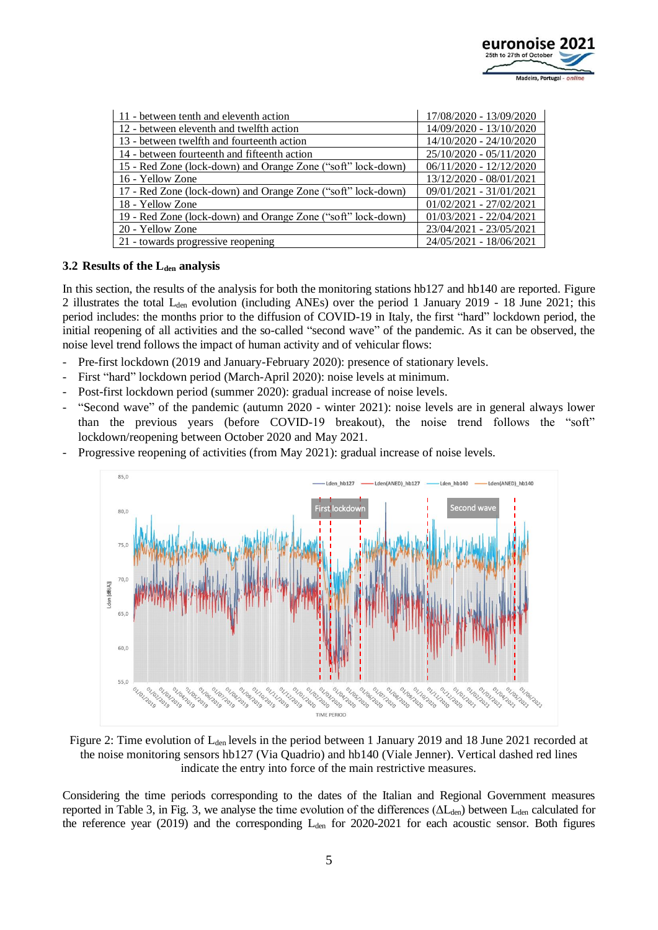

| 11 - between tenth and eleventh action                       | 17/08/2020 - 13/09/2020   |
|--------------------------------------------------------------|---------------------------|
| 12 - between eleventh and twelfth action                     | 14/09/2020 - 13/10/2020   |
| 13 - between twelfth and fourteenth action                   | 14/10/2020 - 24/10/2020   |
| 14 - between fourteenth and fifteenth action                 | 25/10/2020 - 05/11/2020   |
| 15 - Red Zone (lock-down) and Orange Zone ("soft" lock-down) | $06/11/2020 - 12/12/2020$ |
| 16 - Yellow Zone                                             | 13/12/2020 - 08/01/2021   |
| 17 - Red Zone (lock-down) and Orange Zone ("soft" lock-down) | 09/01/2021 - 31/01/2021   |
| 18 - Yellow Zone                                             | $01/02/2021 - 27/02/2021$ |
| 19 - Red Zone (lock-down) and Orange Zone ("soft" lock-down) | $01/03/2021 - 22/04/2021$ |
| 20 - Yellow Zone                                             | 23/04/2021 - 23/05/2021   |
| 21 - towards progressive reopening                           | 24/05/2021 - 18/06/2021   |

#### **3.2 Results of the Lden analysis**

In this section, the results of the analysis for both the monitoring stations hb127 and hb140 are reported. Figure 2 illustrates the total  $L_{den}$  evolution (including ANEs) over the period 1 January 2019 - 18 June 2021; this period includes: the months prior to the diffusion of COVID-19 in Italy, the first "hard" lockdown period, the initial reopening of all activities and the so-called "second wave" of the pandemic. As it can be observed, the noise level trend follows the impact of human activity and of vehicular flows:

- Pre-first lockdown (2019 and January-February 2020): presence of stationary levels.
- First "hard" lockdown period (March-April 2020): noise levels at minimum.
- Post-first lockdown period (summer 2020): gradual increase of noise levels.
- "Second wave" of the pandemic (autumn 2020 winter 2021): noise levels are in general always lower than the previous years (before COVID-19 breakout), the noise trend follows the "soft" lockdown/reopening between October 2020 and May 2021.
- Progressive reopening of activities (from May 2021): gradual increase of noise levels.



Figure 2: Time evolution of L<sub>den</sub> levels in the period between 1 January 2019 and 18 June 2021 recorded at the noise monitoring sensors hb127 (Via Quadrio) and hb140 (Viale Jenner). Vertical dashed red lines indicate the entry into force of the main restrictive measures.

Considering the time periods corresponding to the dates of the Italian and Regional Government measures reported in Table 3, in Fig. 3, we analyse the time evolution of the differences ( $\Delta L_{den}$ ) between  $L_{den}$  calculated for the reference year (2019) and the corresponding  $L_{den}$  for 2020-2021 for each acoustic sensor. Both figures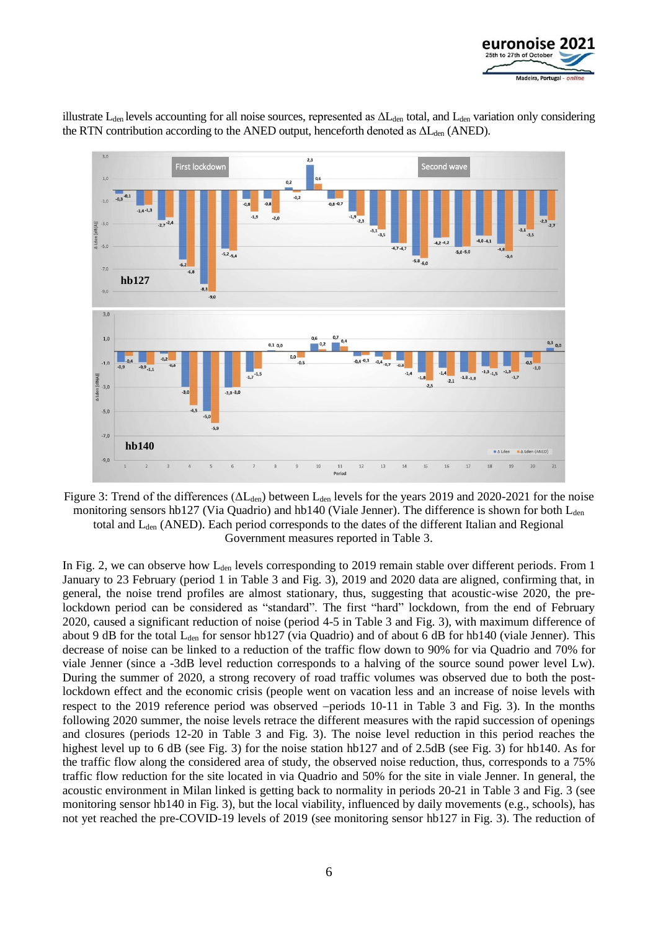



illustrate L<sub>den</sub> levels accounting for all noise sources, represented as  $\Delta L_{den}$  total, and L<sub>den</sub> variation only considering the RTN contribution according to the ANED output, henceforth denoted as  $\Delta L_{den}$  (ANED).

Figure 3: Trend of the differences ( $\Delta L_{den}$ ) between  $L_{den}$  levels for the years 2019 and 2020-2021 for the noise monitoring sensors hb127 (Via Quadrio) and hb140 (Viale Jenner). The difference is shown for both L<sub>den</sub> total and Lden (ANED). Each period corresponds to the dates of the different Italian and Regional Government measures reported in Table 3.

In Fig. 2, we can observe how L<sub>den</sub> levels corresponding to 2019 remain stable over different periods. From 1 January to 23 February (period 1 in Table 3 and Fig. 3), 2019 and 2020 data are aligned, confirming that, in general, the noise trend profiles are almost stationary, thus, suggesting that acoustic-wise 2020, the prelockdown period can be considered as "standard". The first "hard" lockdown, from the end of February 2020, caused a significant reduction of noise (period 4-5 in Table 3 and Fig. 3), with maximum difference of about 9 dB for the total  $L_{den}$  for sensor hb127 (via Quadrio) and of about 6 dB for hb140 (viale Jenner). This decrease of noise can be linked to a reduction of the traffic flow down to 90% for via Quadrio and 70% for viale Jenner (since a -3dB level reduction corresponds to a halving of the source sound power level Lw). During the summer of 2020, a strong recovery of road traffic volumes was observed due to both the postlockdown effect and the economic crisis (people went on vacation less and an increase of noise levels with respect to the 2019 reference period was observed −periods 10-11 in Table 3 and Fig. 3). In the months following 2020 summer, the noise levels retrace the different measures with the rapid succession of openings and closures (periods 12-20 in Table 3 and Fig. 3). The noise level reduction in this period reaches the highest level up to 6 dB (see Fig. 3) for the noise station hb127 and of 2.5dB (see Fig. 3) for hb140. As for the traffic flow along the considered area of study, the observed noise reduction, thus, corresponds to a 75% traffic flow reduction for the site located in via Quadrio and 50% for the site in viale Jenner. In general, the acoustic environment in Milan linked is getting back to normality in periods 20-21 in Table 3 and Fig. 3 (see monitoring sensor hb140 in Fig. 3), but the local viability, influenced by daily movements (e.g., schools), has not yet reached the pre-COVID-19 levels of 2019 (see monitoring sensor hb127 in Fig. 3). The reduction of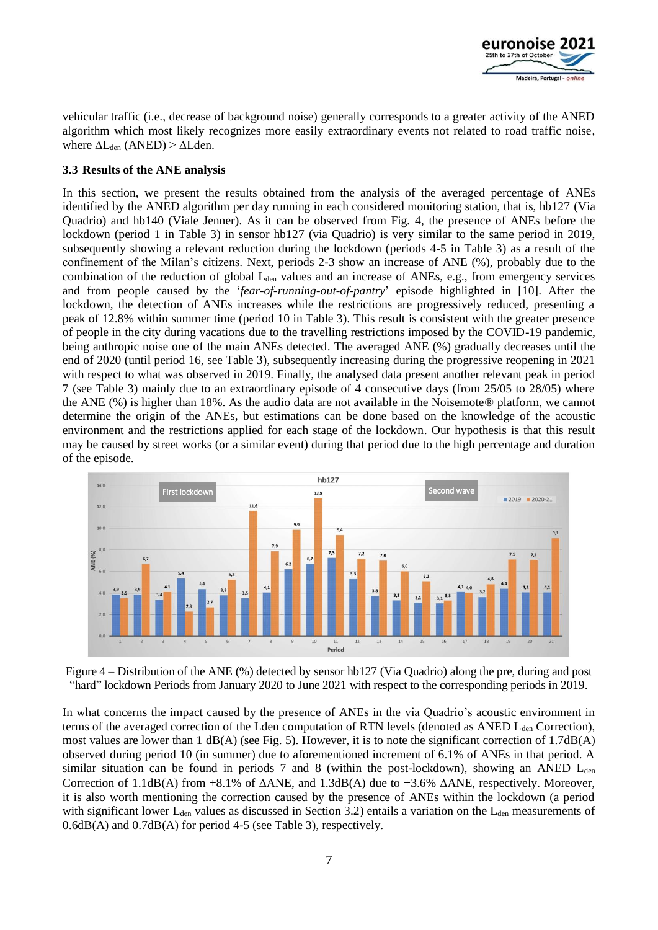

vehicular traffic (i.e., decrease of background noise) generally corresponds to a greater activity of the ANED algorithm which most likely recognizes more easily extraordinary events not related to road traffic noise, where  $\Delta L_{den}$  (ANED) >  $\Delta L_{den}$ .

#### **3.3 Results of the ANE analysis**

In this section, we present the results obtained from the analysis of the averaged percentage of ANEs identified by the ANED algorithm per day running in each considered monitoring station, that is, hb127 (Via Quadrio) and hb140 (Viale Jenner). As it can be observed from Fig. 4, the presence of ANEs before the lockdown (period 1 in Table 3) in sensor hb127 (via Quadrio) is very similar to the same period in 2019, subsequently showing a relevant reduction during the lockdown (periods 4-5 in Table 3) as a result of the confinement of the Milan's citizens. Next, periods 2-3 show an increase of ANE (%), probably due to the combination of the reduction of global L<sub>den</sub> values and an increase of ANEs, e.g., from emergency services and from people caused by the '*fear-of-running-out-of-pantry*' episode highlighted in [10]. After the lockdown, the detection of ANEs increases while the restrictions are progressively reduced, presenting a peak of 12.8% within summer time (period 10 in Table 3). This result is consistent with the greater presence of people in the city during vacations due to the travelling restrictions imposed by the COVID-19 pandemic, being anthropic noise one of the main ANEs detected. The averaged ANE (%) gradually decreases until the end of 2020 (until period 16, see Table 3), subsequently increasing during the progressive reopening in 2021 with respect to what was observed in 2019. Finally, the analysed data present another relevant peak in period 7 (see Table 3) mainly due to an extraordinary episode of 4 consecutive days (from 25/05 to 28/05) where the ANE (%) is higher than 18%. As the audio data are not available in the Noisemote® platform, we cannot determine the origin of the ANEs, but estimations can be done based on the knowledge of the acoustic environment and the restrictions applied for each stage of the lockdown. Our hypothesis is that this result may be caused by street works (or a similar event) during that period due to the high percentage and duration of the episode.



Figure 4 – Distribution of the ANE (%) detected by sensor hb127 (Via Quadrio) along the pre, during and post "hard" lockdown Periods from January 2020 to June 2021 with respect to the corresponding periods in 2019.

In what concerns the impact caused by the presence of ANEs in the via Quadrio's acoustic environment in terms of the averaged correction of the Lden computation of RTN levels (denoted as ANED  $L_{den}$  Correction), most values are lower than  $1 \text{ dB}(A)$  (see Fig. 5). However, it is to note the significant correction of  $1.7 \text{dB}(A)$ observed during period 10 (in summer) due to aforementioned increment of 6.1% of ANEs in that period. A similar situation can be found in periods 7 and 8 (within the post-lockdown), showing an ANED  $L_{den}$ Correction of  $1.1$ dB(A) from +8.1% of  $\triangle ANE$ , and  $1.3$ dB(A) due to +3.6%  $\triangle ANE$ , respectively. Moreover, it is also worth mentioning the correction caused by the presence of ANEs within the lockdown (a period with significant lower  $L_{den}$  values as discussed in Section 3.2) entails a variation on the  $L_{den}$  measurements of 0.6dB(A) and 0.7dB(A) for period 4-5 (see Table 3), respectively.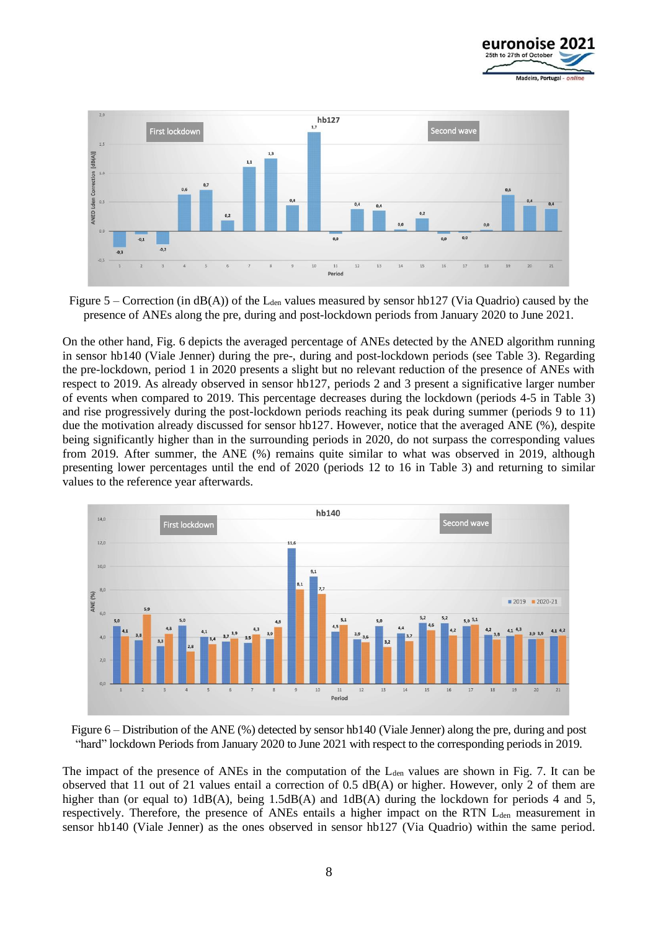



Figure 5 – Correction (in  $dB(A)$ ) of the L<sub>den</sub> values measured by sensor hb127 (Via Quadrio) caused by the presence of ANEs along the pre, during and post-lockdown periods from January 2020 to June 2021.

On the other hand, Fig. 6 depicts the averaged percentage of ANEs detected by the ANED algorithm running in sensor hb140 (Viale Jenner) during the pre-, during and post-lockdown periods (see Table 3). Regarding the pre-lockdown, period 1 in 2020 presents a slight but no relevant reduction of the presence of ANEs with respect to 2019. As already observed in sensor hb127, periods 2 and 3 present a significative larger number of events when compared to 2019. This percentage decreases during the lockdown (periods 4-5 in Table 3) and rise progressively during the post-lockdown periods reaching its peak during summer (periods 9 to 11) due the motivation already discussed for sensor hb127. However, notice that the averaged ANE (%), despite being significantly higher than in the surrounding periods in 2020, do not surpass the corresponding values from 2019. After summer, the ANE (%) remains quite similar to what was observed in 2019, although presenting lower percentages until the end of 2020 (periods 12 to 16 in Table 3) and returning to similar values to the reference year afterwards.



Figure 6 – Distribution of the ANE (%) detected by sensor hb140 (Viale Jenner) along the pre, during and post "hard" lockdown Periods from January 2020 to June 2021 with respect to the corresponding periods in 2019.

The impact of the presence of ANEs in the computation of the  $L_{den}$  values are shown in Fig. 7. It can be observed that 11 out of 21 values entail a correction of 0.5 dB(A) or higher. However, only 2 of them are higher than (or equal to)  $1dB(A)$ , being  $1.5dB(A)$  and  $1dB(A)$  during the lockdown for periods 4 and 5, respectively. Therefore, the presence of ANEs entails a higher impact on the RTN L<sub>den</sub> measurement in sensor hb140 (Viale Jenner) as the ones observed in sensor hb127 (Via Quadrio) within the same period.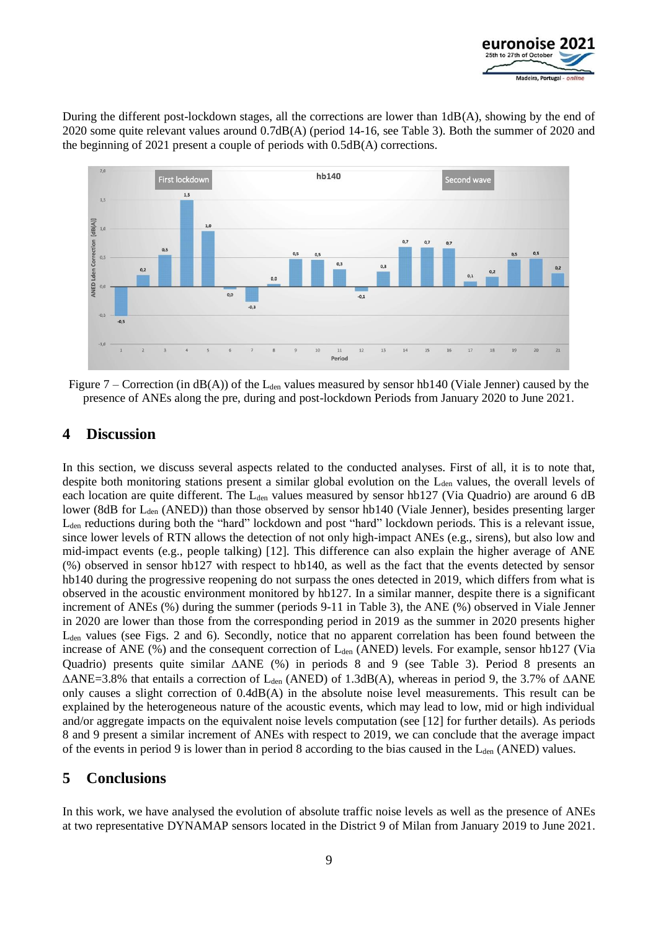

During the different post-lockdown stages, all the corrections are lower than  $1dB(A)$ , showing by the end of 2020 some quite relevant values around 0.7dB(A) (period 14-16, see Table 3). Both the summer of 2020 and the beginning of 2021 present a couple of periods with 0.5dB(A) corrections.



Figure 7 – Correction (in  $dB(A)$ ) of the L<sub>den</sub> values measured by sensor hb140 (Viale Jenner) caused by the presence of ANEs along the pre, during and post-lockdown Periods from January 2020 to June 2021.

# **4 Discussion**

In this section, we discuss several aspects related to the conducted analyses. First of all, it is to note that, despite both monitoring stations present a similar global evolution on the L<sub>den</sub> values, the overall levels of each location are quite different. The  $L_{den}$  values measured by sensor hb127 (Via Quadrio) are around 6 dB lower (8dB for L<sub>den</sub> (ANED)) than those observed by sensor hb140 (Viale Jenner), besides presenting larger L<sub>den</sub> reductions during both the "hard" lockdown and post "hard" lockdown periods. This is a relevant issue, since lower levels of RTN allows the detection of not only high-impact ANEs (e.g., sirens), but also low and mid-impact events (e.g., people talking) [12]. This difference can also explain the higher average of ANE (%) observed in sensor hb127 with respect to hb140, as well as the fact that the events detected by sensor hb140 during the progressive reopening do not surpass the ones detected in 2019, which differs from what is observed in the acoustic environment monitored by hb127. In a similar manner, despite there is a significant increment of ANEs (%) during the summer (periods 9-11 in Table 3), the ANE (%) observed in Viale Jenner in 2020 are lower than those from the corresponding period in 2019 as the summer in 2020 presents higher  $L_{den}$  values (see Figs. 2 and 6). Secondly, notice that no apparent correlation has been found between the increase of ANE  $(\%)$  and the consequent correction of  $L_{den}$  (ANED) levels. For example, sensor hb127 (Via Quadrio) presents quite similar  $\triangle ANE$  (%) in periods 8 and 9 (see Table 3). Period 8 presents an  $\triangle ANE=3.8\%$  that entails a correction of L<sub>den</sub> (ANED) of 1.3dB(A), whereas in period 9, the 3.7% of  $\triangle ANE$ only causes a slight correction of 0.4dB(A) in the absolute noise level measurements. This result can be explained by the heterogeneous nature of the acoustic events, which may lead to low, mid or high individual and/or aggregate impacts on the equivalent noise levels computation (see [12] for further details). As periods 8 and 9 present a similar increment of ANEs with respect to 2019, we can conclude that the average impact of the events in period 9 is lower than in period 8 according to the bias caused in the  $L_{den}$  (ANED) values.

### **5 Conclusions**

In this work, we have analysed the evolution of absolute traffic noise levels as well as the presence of ANEs at two representative DYNAMAP sensors located in the District 9 of Milan from January 2019 to June 2021.